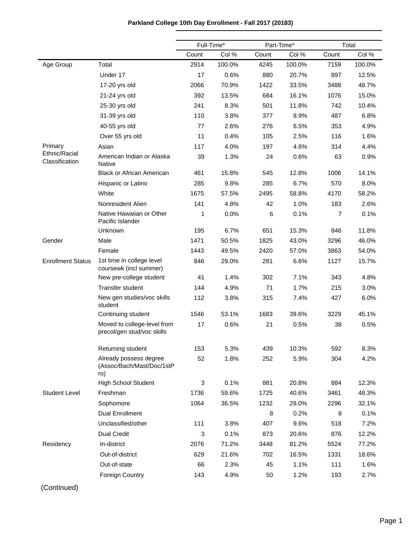|                                 |                                                            | Full-Time* |        | Part-Time* |        | Total |        |  |
|---------------------------------|------------------------------------------------------------|------------|--------|------------|--------|-------|--------|--|
|                                 |                                                            | Count      | Col %  | Count      | Col %  | Count | Col %  |  |
| Age Group                       | Total                                                      | 2914       | 100.0% | 4245       | 100.0% | 7159  | 100.0% |  |
|                                 | Under 17                                                   | 17         | 0.6%   | 880        | 20.7%  | 897   | 12.5%  |  |
|                                 | 17-20 yrs old                                              | 2066       | 70.9%  | 1422       | 33.5%  | 3488  | 48.7%  |  |
|                                 | 21-24 yrs old                                              | 392        | 13.5%  | 684        | 16.1%  | 1076  | 15.0%  |  |
|                                 | 25-30 yrs old                                              | 241        | 8.3%   | 501        | 11.8%  | 742   | 10.4%  |  |
|                                 | 31-39 yrs old                                              | 110        | 3.8%   | 377        | 8.9%   | 487   | 6.8%   |  |
|                                 | 40-55 yrs old                                              | 77         | 2.6%   | 276        | 6.5%   | 353   | 4.9%   |  |
|                                 | Over 55 yrs old                                            | 11         | 0.4%   | 105        | 2.5%   | 116   | 1.6%   |  |
| Primary                         | Asian                                                      | 117        | 4.0%   | 197        | 4.6%   | 314   | 4.4%   |  |
| Ethnic/Racial<br>Classification | American Indian or Alaska<br><b>Native</b>                 | 39         | 1.3%   | 24         | 0.6%   | 63    | 0.9%   |  |
|                                 | <b>Black or African American</b>                           | 461        | 15.8%  | 545        | 12.8%  | 1006  | 14.1%  |  |
|                                 | Hispanic or Latino                                         | 285        | 9.8%   | 285        | 6.7%   | 570   | 8.0%   |  |
|                                 | White                                                      | 1675       | 57.5%  | 2495       | 58.8%  | 4170  | 58.2%  |  |
|                                 | Nonresident Alien                                          | 141        | 4.8%   | 42         | 1.0%   | 183   | 2.6%   |  |
|                                 | Native Hawaiian or Other<br>Pacific Islander               | 1          | 0.0%   | 6          | 0.1%   | 7     | 0.1%   |  |
|                                 | Unknown                                                    | 195        | 6.7%   | 651        | 15.3%  | 846   | 11.8%  |  |
| Gender                          | Male                                                       | 1471       | 50.5%  | 1825       | 43.0%  | 3296  | 46.0%  |  |
|                                 | Female                                                     | 1443       | 49.5%  | 2420       | 57.0%  | 3863  | 54.0%  |  |
| <b>Enrollment Status</b>        | 1st time in college level<br>coursewk (incl summer)        | 846        | 29.0%  | 281        | 6.6%   | 1127  | 15.7%  |  |
|                                 | New pre-college student                                    | 41         | 1.4%   | 302        | 7.1%   | 343   | 4.8%   |  |
|                                 | Transfer student                                           | 144        | 4.9%   | 71         | 1.7%   | 215   | 3.0%   |  |
|                                 | New gen studies/voc skills<br>student                      | 112        | 3.8%   | 315        | 7.4%   | 427   | 6.0%   |  |
|                                 | Continuing student                                         | 1546       | 53.1%  | 1683       | 39.6%  | 3229  | 45.1%  |  |
|                                 | Moved to college-level from<br>precol/gen stud/voc skills  | 17         | 0.6%   | 21         | 0.5%   | 38    | 0.5%   |  |
|                                 | Returning student                                          | 153        | 5.3%   | 439        | 10.3%  | 592   | 8.3%   |  |
|                                 | Already possess degree<br>(Assoc/Bach/Mast/Doc/1stP<br>ro) | 52         | 1.8%   | 252        | 5.9%   | 304   | 4.2%   |  |
|                                 | <b>High School Student</b>                                 | 3          | 0.1%   | 881        | 20.8%  | 884   | 12.3%  |  |
| <b>Student Level</b>            | Freshman                                                   | 1736       | 59.6%  | 1725       | 40.6%  | 3461  | 48.3%  |  |
|                                 | Sophomore                                                  | 1064       | 36.5%  | 1232       | 29.0%  | 2296  | 32.1%  |  |
|                                 | <b>Dual Enrollment</b>                                     |            |        | 8          | 0.2%   | 8     | 0.1%   |  |
|                                 | Unclassified/other                                         | 111        | 3.8%   | 407        | 9.6%   | 518   | 7.2%   |  |
|                                 | <b>Dual Credit</b>                                         | 3          | 0.1%   | 873        | 20.6%  | 876   | 12.2%  |  |
| Residency                       | In-district                                                | 2076       | 71.2%  | 3448       | 81.2%  | 5524  | 77.2%  |  |
|                                 | Out-of-district                                            | 629        | 21.6%  | 702        | 16.5%  | 1331  | 18.6%  |  |
|                                 | Out-of-state                                               | 66         | 2.3%   | 45         | 1.1%   | 111   | 1.6%   |  |
|                                 | Foreign Country                                            | 143        | 4.9%   | 50         | 1.2%   | 193   | 2.7%   |  |

# **Parkland College 10th Day Enrollment - Fall 2017 (20183)**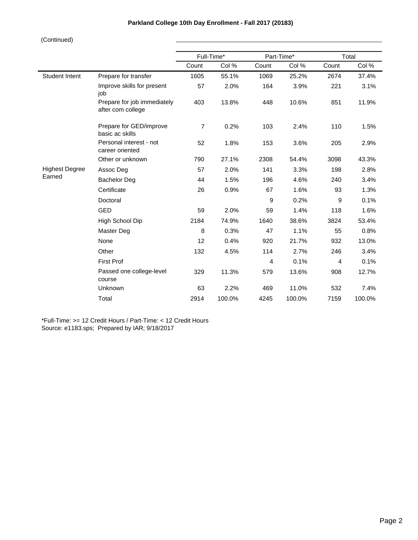|                       |                                                  |                | Full-Time* | Part-Time*     |        | Total |        |
|-----------------------|--------------------------------------------------|----------------|------------|----------------|--------|-------|--------|
|                       |                                                  | Count          | Col %      | Count          | Col %  | Count | Col %  |
| <b>Student Intent</b> | Prepare for transfer                             | 1605           | 55.1%      | 1069           | 25.2%  | 2674  | 37.4%  |
|                       | Improve skills for present<br>job                | 57             | 2.0%       | 164            | 3.9%   | 221   | 3.1%   |
|                       | Prepare for job immediately<br>after com college | 403            | 13.8%      | 448            | 10.6%  | 851   | 11.9%  |
|                       | Prepare for GED/improve<br>basic ac skills       | $\overline{7}$ | 0.2%       | 103            | 2.4%   | 110   | 1.5%   |
|                       | Personal interest - not<br>career oriented       | 52             | 1.8%       | 153            | 3.6%   | 205   | 2.9%   |
|                       | Other or unknown                                 | 790            | 27.1%      | 2308           | 54.4%  | 3098  | 43.3%  |
| <b>Highest Degree</b> | Assoc Deg                                        | 57             | 2.0%       | 141            | 3.3%   | 198   | 2.8%   |
| Earned                | <b>Bachelor Deg</b>                              | 44             | 1.5%       | 196            | 4.6%   | 240   | 3.4%   |
|                       | Certificate                                      | 26             | 0.9%       | 67             | 1.6%   | 93    | 1.3%   |
|                       | Doctoral                                         |                |            | 9              | 0.2%   | 9     | 0.1%   |
|                       | <b>GED</b>                                       | 59             | 2.0%       | 59             | 1.4%   | 118   | 1.6%   |
|                       | High School Dip                                  | 2184           | 74.9%      | 1640           | 38.6%  | 3824  | 53.4%  |
|                       | Master Deg                                       | 8              | 0.3%       | 47             | 1.1%   | 55    | 0.8%   |
|                       | None                                             | 12             | 0.4%       | 920            | 21.7%  | 932   | 13.0%  |
|                       | Other                                            | 132            | 4.5%       | 114            | 2.7%   | 246   | 3.4%   |
|                       | <b>First Prof</b>                                |                |            | $\overline{4}$ | 0.1%   | 4     | 0.1%   |
|                       | Passed one college-level<br>course               | 329            | 11.3%      | 579            | 13.6%  | 908   | 12.7%  |
|                       | Unknown                                          | 63             | 2.2%       | 469            | 11.0%  | 532   | 7.4%   |
|                       | Total                                            | 2914           | 100.0%     | 4245           | 100.0% | 7159  | 100.0% |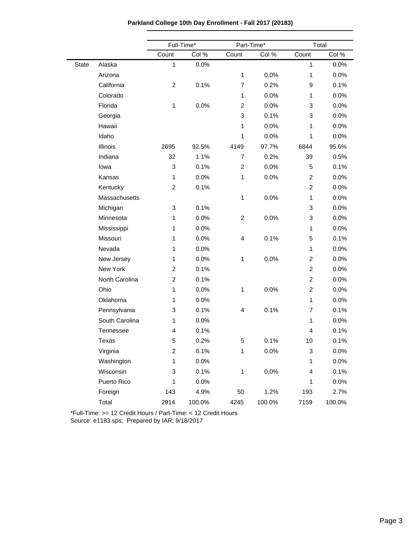**Parkland College 10th Day Enrollment - Fall 2017 (20183)**

|       |                | Full-Time*              |        |                | Part-Time* | Total                   |        |  |
|-------|----------------|-------------------------|--------|----------------|------------|-------------------------|--------|--|
|       |                | Count                   | Col %  | Count          | Col %      | Count                   | Col %  |  |
| State | Alaska         | $\mathbf{1}$            | 0.0%   |                |            | $\mathbf{1}$            | 0.0%   |  |
|       | Arizona        |                         |        | $\mathbf{1}$   | 0.0%       | 1                       | 0.0%   |  |
|       | California     | $\overline{c}$          | 0.1%   | $\overline{7}$ | 0.2%       | 9                       | 0.1%   |  |
|       | Colorado       |                         |        | 1              | 0.0%       | 1                       | 0.0%   |  |
|       | Florida        | $\mathbf{1}$            | 0.0%   | $\overline{c}$ | 0.0%       | 3                       | 0.0%   |  |
|       | Georgia        |                         |        | 3              | 0.1%       | 3                       | 0.0%   |  |
|       | Hawaii         |                         |        | 1              | 0.0%       | 1                       | 0.0%   |  |
|       | Idaho          |                         |        | 1              | 0.0%       | 1                       | 0.0%   |  |
|       | Illinois       | 2695                    | 92.5%  | 4149           | 97.7%      | 6844                    | 95.6%  |  |
|       | Indiana        | 32                      | 1.1%   | $\overline{7}$ | 0.2%       | 39                      | 0.5%   |  |
|       | lowa           | 3                       | 0.1%   | $\overline{c}$ | 0.0%       | 5                       | 0.1%   |  |
|       | Kansas         | $\mathbf{1}$            | 0.0%   | 1              | 0.0%       | $\overline{\mathbf{c}}$ | 0.0%   |  |
|       | Kentucky       | $\overline{c}$          | 0.1%   |                |            | $\overline{\mathbf{c}}$ | 0.0%   |  |
|       | Massachusetts  |                         |        | 1              | 0.0%       | 1                       | 0.0%   |  |
|       | Michigan       | 3                       | 0.1%   |                |            | 3                       | 0.0%   |  |
|       | Minnesota      | 1                       | 0.0%   | $\overline{c}$ | 0.0%       | 3                       | 0.0%   |  |
|       | Mississippi    | 1                       | 0.0%   |                |            | 1                       | 0.0%   |  |
|       | Missouri       | 1                       | 0.0%   | 4              | 0.1%       | 5                       | 0.1%   |  |
|       | Nevada         | 1                       | 0.0%   |                |            | 1                       | 0.0%   |  |
|       | New Jersey     | 1                       | 0.0%   | $\mathbf{1}$   | 0.0%       | $\overline{c}$          | 0.0%   |  |
|       | New York       | $\overline{c}$          | 0.1%   |                |            | $\overline{\mathbf{c}}$ | 0.0%   |  |
|       | North Carolina | $\overline{c}$          | 0.1%   |                |            | $\overline{c}$          | 0.0%   |  |
|       | Ohio           | 1                       | 0.0%   | 1              | 0.0%       | $\overline{\mathbf{c}}$ | 0.0%   |  |
|       | Oklahoma       | 1                       | 0.0%   |                |            | 1                       | 0.0%   |  |
|       | Pennsylvania   | 3                       | 0.1%   | 4              | 0.1%       | $\overline{7}$          | 0.1%   |  |
|       | South Carolina | $\mathbf{1}$            | 0.0%   |                |            | 1                       | 0.0%   |  |
|       | Tennessee      | 4                       | 0.1%   |                |            | 4                       | 0.1%   |  |
|       | Texas          | 5                       | 0.2%   | 5              | 0.1%       | 10                      | 0.1%   |  |
|       | Virginia       | $\overline{\mathbf{c}}$ | 0.1%   | 1              | 0.0%       | 3                       | 0.0%   |  |
|       | Washington     | 1                       | 0.0%   |                |            | 1                       | 0.0%   |  |
|       | Wisconsin      | 3                       | 0.1%   | $\mathbf{1}$   | 0.0%       | 4                       | 0.1%   |  |
|       | Puerto Rico    | 1                       | 0.0%   |                |            | 1                       | 0.0%   |  |
|       | Foreign        | 143                     | 4.9%   | 50             | 1.2%       | 193                     | 2.7%   |  |
|       | Total          | 2914                    | 100.0% | 4245           | 100.0%     | 7159                    | 100.0% |  |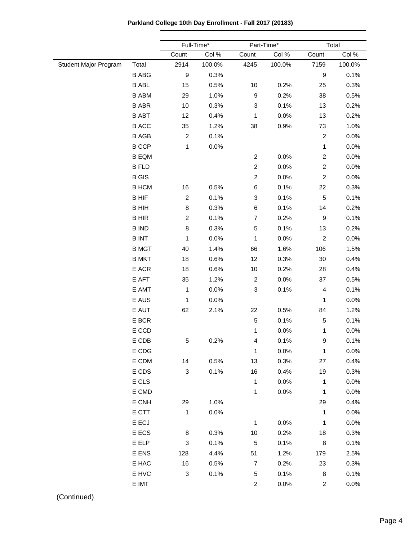**Parkland College 10th Day Enrollment - Fall 2017 (20183)**

|                       |              | Full-Time*                |        | Part-Time*                |        | Total            |        |
|-----------------------|--------------|---------------------------|--------|---------------------------|--------|------------------|--------|
|                       |              | Count                     | Col %  | Count                     | Col %  | Count            | Col %  |
| Student Major Program | Total        | 2914                      | 100.0% | 4245                      | 100.0% | 7159             | 100.0% |
|                       | <b>B ABG</b> | $\boldsymbol{9}$          | 0.3%   |                           |        | $\boldsymbol{9}$ | 0.1%   |
|                       | <b>B ABL</b> | 15                        | 0.5%   | 10                        | 0.2%   | 25               | 0.3%   |
|                       | <b>B ABM</b> | 29                        | 1.0%   | $\mathsf g$               | 0.2%   | 38               | 0.5%   |
|                       | <b>B ABR</b> | 10                        | 0.3%   | $\ensuremath{\mathsf{3}}$ | 0.1%   | 13               | 0.2%   |
|                       | <b>B ABT</b> | 12                        | 0.4%   | 1                         | 0.0%   | 13               | 0.2%   |
|                       | <b>B ACC</b> | 35                        | 1.2%   | 38                        | 0.9%   | 73               | 1.0%   |
|                       | <b>B AGB</b> | $\overline{c}$            | 0.1%   |                           |        | $\overline{c}$   | 0.0%   |
|                       | <b>B CCP</b> | 1                         | 0.0%   |                           |        | $\mathbf{1}$     | 0.0%   |
|                       | <b>B EQM</b> |                           |        | $\boldsymbol{2}$          | 0.0%   | $\boldsymbol{2}$ | 0.0%   |
|                       | <b>B FLD</b> |                           |        | $\boldsymbol{2}$          | 0.0%   | $\overline{c}$   | 0.0%   |
|                       | <b>B</b> GIS |                           |        | $\overline{c}$            | 0.0%   | $\overline{c}$   | 0.0%   |
|                       | <b>B HCM</b> | 16                        | 0.5%   | $\,6$                     | 0.1%   | 22               | 0.3%   |
|                       | <b>BHIF</b>  | $\overline{c}$            | 0.1%   | $\ensuremath{\mathsf{3}}$ | 0.1%   | $\mathbf 5$      | 0.1%   |
|                       | <b>BHIH</b>  | 8                         | 0.3%   | 6                         | 0.1%   | 14               | 0.2%   |
|                       | <b>BHIR</b>  | $\overline{c}$            | 0.1%   | $\boldsymbol{7}$          | 0.2%   | $\boldsymbol{9}$ | 0.1%   |
|                       | <b>B IND</b> | 8                         | 0.3%   | $\mathbf 5$               | 0.1%   | 13               | 0.2%   |
|                       | <b>BINT</b>  | 1                         | 0.0%   | 1                         | 0.0%   | $\overline{c}$   | 0.0%   |
|                       | <b>B MGT</b> | 40                        | 1.4%   | 66                        | 1.6%   | 106              | 1.5%   |
|                       | <b>B MKT</b> | 18                        | 0.6%   | 12                        | 0.3%   | 30               | 0.4%   |
|                       | E ACR        | 18                        | 0.6%   | 10                        | 0.2%   | 28               | 0.4%   |
|                       | E AFT        | 35                        | 1.2%   | $\overline{c}$            | 0.0%   | 37               | 0.5%   |
|                       | E AMT        | 1                         | 0.0%   | $\ensuremath{\mathsf{3}}$ | 0.1%   | 4                | 0.1%   |
|                       | E AUS        | 1                         | 0.0%   |                           |        | 1                | 0.0%   |
|                       | E AUT        | 62                        | 2.1%   | 22                        | 0.5%   | 84               | 1.2%   |
|                       | E BCR        |                           |        | $\mathbf 5$               | 0.1%   | 5                | 0.1%   |
|                       | E CCD        |                           |        | 1                         | 0.0%   | 1                | 0.0%   |
|                       | E CDB        | 5                         | 0.2%   | 4                         | 0.1%   | 9                | 0.1%   |
|                       | E CDG        |                           |        | $\mathbf{1}$              | 0.0%   | $\mathbf{1}$     | 0.0%   |
|                       | E CDM        | 14                        | 0.5%   | 13                        | 0.3%   | 27               | 0.4%   |
|                       | E CDS        | $\mathbf{3}$              | 0.1%   | 16                        | 0.4%   | 19               | 0.3%   |
|                       | E CLS        |                           |        | $\mathbf{1}$              | 0.0%   | $\mathbf{1}$     | 0.0%   |
|                       | E CMD        |                           |        | $\mathbf{1}$              | 0.0%   | 1                | 0.0%   |
|                       | E CNH        | 29                        | 1.0%   |                           |        | 29               | 0.4%   |
|                       | E CTT        | 1                         | 0.0%   |                           |        | $\mathbf{1}$     | 0.0%   |
|                       | E ECJ        |                           |        | $\mathbf{1}$              | 0.0%   | 1                | 0.0%   |
|                       | E ECS        | 8                         | 0.3%   | $10$                      | 0.2%   | 18               | 0.3%   |
|                       | E ELP        | 3                         | 0.1%   | $\,$ 5 $\,$               | 0.1%   | 8                | 0.1%   |
|                       | E ENS        | 128                       | 4.4%   | 51                        | 1.2%   | 179              | 2.5%   |
|                       | E HAC        | 16                        | 0.5%   | $\overline{7}$            | 0.2%   | 23               | 0.3%   |
|                       | E HVC        | $\ensuremath{\mathsf{3}}$ | 0.1%   | $\,$ 5 $\,$               | 0.1%   | 8                | 0.1%   |
|                       | E IMT        |                           |        | $\overline{a}$            | 0.0%   | $\overline{c}$   | 0.0%   |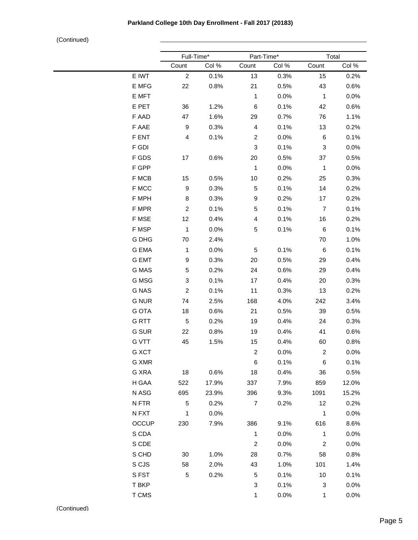|              | Full-Time*     |       | Part-Time*                |       | Total                   |         |  |
|--------------|----------------|-------|---------------------------|-------|-------------------------|---------|--|
|              | Count          | Col % | Count                     | Col % | Count                   | Col %   |  |
| E IWT        | $\overline{2}$ | 0.1%  | 13                        | 0.3%  | 15                      | 0.2%    |  |
| E MFG        | 22             | 0.8%  | 21                        | 0.5%  | 43                      | 0.6%    |  |
| E MFT        |                |       | $\mathbf{1}$              | 0.0%  | $\mathbf{1}$            | $0.0\%$ |  |
| E PET        | 36             | 1.2%  | 6                         | 0.1%  | 42                      | 0.6%    |  |
| F AAD        | 47             | 1.6%  | 29                        | 0.7%  | 76                      | 1.1%    |  |
| F AAE        | 9              | 0.3%  | $\overline{\mathbf{4}}$   | 0.1%  | 13                      | 0.2%    |  |
| F ENT        | $\overline{4}$ | 0.1%  | $\overline{c}$            | 0.0%  | 6                       | 0.1%    |  |
| F GDI        |                |       | $\ensuremath{\mathsf{3}}$ | 0.1%  | 3                       | 0.0%    |  |
| F GDS        | 17             | 0.6%  | 20                        | 0.5%  | 37                      | 0.5%    |  |
| F GPP        |                |       | $\mathbf{1}$              | 0.0%  | $\mathbf{1}$            | 0.0%    |  |
| F MCB        | 15             | 0.5%  | 10                        | 0.2%  | 25                      | 0.3%    |  |
| F MCC        | 9              | 0.3%  | 5                         | 0.1%  | 14                      | 0.2%    |  |
| F MPH        | 8              | 0.3%  | 9                         | 0.2%  | 17                      | 0.2%    |  |
| F MPR        | $\overline{2}$ | 0.1%  | 5                         | 0.1%  | $\overline{7}$          | 0.1%    |  |
| F MSE        | 12             | 0.4%  | $\overline{\mathbf{4}}$   | 0.1%  | 16                      | 0.2%    |  |
| F MSP        | $\mathbf{1}$   | 0.0%  | 5                         | 0.1%  | 6                       | 0.1%    |  |
| G DHG        | 70             | 2.4%  |                           |       | 70                      | 1.0%    |  |
| <b>G EMA</b> | $\mathbf{1}$   | 0.0%  | 5                         | 0.1%  | 6                       | 0.1%    |  |
| <b>G EMT</b> | 9              | 0.3%  | 20                        | 0.5%  | 29                      | 0.4%    |  |
| G MAS        | 5              | 0.2%  | 24                        | 0.6%  | 29                      | 0.4%    |  |
| G MSG        | 3              | 0.1%  | 17                        | 0.4%  | 20                      | 0.3%    |  |
| <b>G NAS</b> | $\overline{c}$ | 0.1%  | 11                        | 0.3%  | 13                      | 0.2%    |  |
| <b>G NUR</b> | 74             | 2.5%  | 168                       | 4.0%  | 242                     | 3.4%    |  |
| <b>G OTA</b> | 18             | 0.6%  | 21                        | 0.5%  | 39                      | 0.5%    |  |
| G RTT        | 5              | 0.2%  | 19                        | 0.4%  | 24                      | 0.3%    |  |
| <b>G SUR</b> | 22             | 0.8%  | 19                        | 0.4%  | 41                      | 0.6%    |  |
| <b>G VTT</b> | 45             | 1.5%  | 15                        | 0.4%  | 60                      | 0.8%    |  |
| G XCT        |                |       | $\overline{c}$            | 0.0%  | $\overline{\mathbf{c}}$ | 0.0%    |  |
| G XMR        |                |       | 6                         | 0.1%  | 6                       | 0.1%    |  |
| G XRA        | 18             | 0.6%  | 18                        | 0.4%  | 36                      | 0.5%    |  |
| H GAA        | 522            | 17.9% | 337                       | 7.9%  | 859                     | 12.0%   |  |
| N ASG        | 695            | 23.9% | 396                       | 9.3%  | 1091                    | 15.2%   |  |
| N FTR        | 5              | 0.2%  | $\overline{7}$            | 0.2%  | 12                      | 0.2%    |  |
| N FXT        | $\mathbf{1}$   | 0.0%  |                           |       | $\mathbf{1}$            | 0.0%    |  |
| <b>OCCUP</b> | 230            | 7.9%  | 386                       | 9.1%  | 616                     | 8.6%    |  |
| S CDA        |                |       | $\mathbf{1}$              | 0.0%  | $\mathbf{1}$            | $0.0\%$ |  |
| S CDE        |                |       | $\overline{c}$            | 0.0%  | $\overline{c}$          | $0.0\%$ |  |
| S CHD        | 30             | 1.0%  | 28                        | 0.7%  | 58                      | 0.8%    |  |
| S CJS        | 58             | 2.0%  | 43                        | 1.0%  | 101                     | 1.4%    |  |
| S FST        | 5              | 0.2%  | 5                         | 0.1%  | 10                      | 0.1%    |  |
| T BKP        |                |       | 3                         | 0.1%  | 3                       | $0.0\%$ |  |
|              |                |       |                           |       |                         |         |  |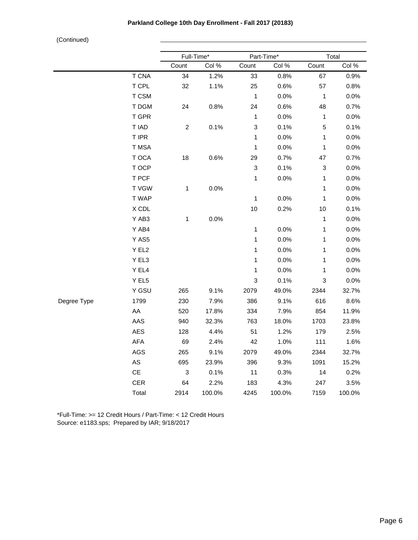|             |                               | Full-Time*                |        | Part-Time*                |        | Total                     |        |  |
|-------------|-------------------------------|---------------------------|--------|---------------------------|--------|---------------------------|--------|--|
|             |                               | Count                     | Col %  | Count                     | Col %  | Count                     | Col %  |  |
|             | <b>T CNA</b>                  | 34                        | 1.2%   | 33                        | 0.8%   | 67                        | 0.9%   |  |
|             | T CPL                         | 32                        | 1.1%   | 25                        | 0.6%   | 57                        | 0.8%   |  |
|             | T CSM                         |                           |        | $\mathbf{1}$              | 0.0%   | $\mathbf{1}$              | 0.0%   |  |
|             | T DGM                         | 24                        | 0.8%   | 24                        | 0.6%   | 48                        | 0.7%   |  |
|             | T GPR                         |                           |        | $\mathbf{1}$              | 0.0%   | $\mathbf{1}$              | 0.0%   |  |
|             | T IAD                         | $\overline{c}$            | 0.1%   | $\ensuremath{\mathsf{3}}$ | 0.1%   | $\sqrt{5}$                | 0.1%   |  |
|             | T IPR                         |                           |        | $\mathbf{1}$              | 0.0%   | $\mathbf{1}$              | 0.0%   |  |
|             | T MSA                         |                           |        | $\mathbf{1}$              | 0.0%   | $\mathbf{1}$              | 0.0%   |  |
|             | T OCA                         | $18\,$                    | 0.6%   | 29                        | 0.7%   | 47                        | 0.7%   |  |
|             | T OCP                         |                           |        | $\ensuremath{\mathsf{3}}$ | 0.1%   | $\ensuremath{\mathsf{3}}$ | 0.0%   |  |
|             | T PCF                         |                           |        | $\mathbf{1}$              | 0.0%   | $\mathbf{1}$              | 0.0%   |  |
|             | T VGW                         | $\mathbf{1}$              | 0.0%   |                           |        | $\mathbf{1}$              | 0.0%   |  |
|             | T WAP                         |                           |        | $\mathbf 1$               | 0.0%   | $\mathbf{1}$              | 0.0%   |  |
|             | $\boldsymbol{\mathsf{X}}$ CDL |                           |        | $10$                      | 0.2%   | $10$                      | 0.1%   |  |
|             | Y AB3                         | 1                         | 0.0%   |                           |        | $\mathbf{1}$              | 0.0%   |  |
|             | Y AB4                         |                           |        | $\mathbf{1}$              | 0.0%   | $\mathbf{1}$              | 0.0%   |  |
|             | Y AS5                         |                           |        | $\mathbf{1}$              | 0.0%   | $\mathbf{1}$              | 0.0%   |  |
|             | Y EL2                         |                           |        | $\mathbf{1}$              | 0.0%   | $\mathbf{1}$              | 0.0%   |  |
|             | Y EL3                         |                           |        | $\mathbf{1}$              | 0.0%   | $\mathbf{1}$              | 0.0%   |  |
|             | Y EL4                         |                           |        | $\mathbf{1}$              | 0.0%   | $\mathbf{1}$              | 0.0%   |  |
|             | Y EL5                         |                           |        | $\ensuremath{\mathsf{3}}$ | 0.1%   | $\ensuremath{\mathsf{3}}$ | 0.0%   |  |
|             | Y GSU                         | 265                       | 9.1%   | 2079                      | 49.0%  | 2344                      | 32.7%  |  |
| Degree Type | 1799                          | 230                       | 7.9%   | 386                       | 9.1%   | 616                       | 8.6%   |  |
|             | AA                            | 520                       | 17.8%  | 334                       | 7.9%   | 854                       | 11.9%  |  |
|             | AAS                           | 940                       | 32.3%  | 763                       | 18.0%  | 1703                      | 23.8%  |  |
|             | AES                           | 128                       | 4.4%   | 51                        | 1.2%   | 179                       | 2.5%   |  |
|             | ${\sf AFA}$                   | 69                        | 2.4%   | 42                        | 1.0%   | 111                       | 1.6%   |  |
|             | AGS                           | 265                       | 9.1%   | 2079                      | 49.0%  | 2344                      | 32.7%  |  |
|             | $\mathsf{AS}$                 | 695                       | 23.9%  | 396                       | 9.3%   | 1091                      | 15.2%  |  |
|             | $\mathsf{CE}% _{\mathcal{A}}$ | $\ensuremath{\mathsf{3}}$ | 0.1%   | 11                        | 0.3%   | 14                        | 0.2%   |  |
|             | CER                           | 64                        | 2.2%   | 183                       | 4.3%   | 247                       | 3.5%   |  |
|             | Total                         | 2914                      | 100.0% | 4245                      | 100.0% | 7159                      | 100.0% |  |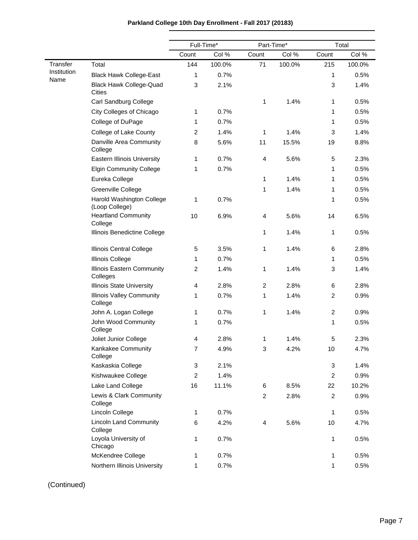|                     |                                                 | Full-Time*       |        | Part-Time*     |        | Total          |        |
|---------------------|-------------------------------------------------|------------------|--------|----------------|--------|----------------|--------|
|                     |                                                 | Count            | Col %  | Count          | Col %  | Count          | Col %  |
| Transfer            | Total                                           | 144              | 100.0% | 71             | 100.0% | 215            | 100.0% |
| Institution<br>Name | <b>Black Hawk College-East</b>                  | 1                | 0.7%   |                |        | 1              | 0.5%   |
|                     | <b>Black Hawk College-Quad</b><br><b>Cities</b> | 3                | 2.1%   |                |        | 3              | 1.4%   |
|                     | Carl Sandburg College                           |                  |        | 1              | 1.4%   | 1              | 0.5%   |
|                     | City Colleges of Chicago                        | 1                | 0.7%   |                |        | 1              | 0.5%   |
|                     | College of DuPage                               | 1                | 0.7%   |                |        | 1              | 0.5%   |
|                     | College of Lake County                          | $\overline{c}$   | 1.4%   | 1              | 1.4%   | 3              | 1.4%   |
|                     | Danville Area Community<br>College              | 8                | 5.6%   | 11             | 15.5%  | 19             | 8.8%   |
|                     | <b>Eastern Illinois University</b>              | 1                | 0.7%   | 4              | 5.6%   | 5              | 2.3%   |
|                     | <b>Elgin Community College</b>                  | 1                | 0.7%   |                |        | 1              | 0.5%   |
|                     | Eureka College                                  |                  |        | 1              | 1.4%   | 1              | 0.5%   |
|                     | Greenville College                              |                  |        | 1              | 1.4%   | 1              | 0.5%   |
|                     | Harold Washington College<br>(Loop College)     | 1                | 0.7%   |                |        | 1              | 0.5%   |
|                     | <b>Heartland Community</b><br>College           | 10               | 6.9%   | 4              | 5.6%   | 14             | 6.5%   |
|                     | Illinois Benedictine College                    |                  |        | 1              | 1.4%   | 1              | 0.5%   |
|                     | Illinois Central College                        | 5                | 3.5%   | 1              | 1.4%   | 6              | 2.8%   |
|                     | <b>Illinois College</b>                         | 1                | 0.7%   |                |        | 1              | 0.5%   |
|                     | Illinois Eastern Community<br>Colleges          | $\overline{2}$   | 1.4%   | 1              | 1.4%   | 3              | 1.4%   |
|                     | <b>Illinois State University</b>                | 4                | 2.8%   | $\overline{2}$ | 2.8%   | 6              | 2.8%   |
|                     | <b>Illinois Valley Community</b><br>College     | 1                | 0.7%   | 1              | 1.4%   | $\overline{c}$ | 0.9%   |
|                     | John A. Logan College                           | 1                | 0.7%   | 1              | 1.4%   | $\overline{c}$ | 0.9%   |
|                     | John Wood Community<br>College                  | 1                | 0.7%   |                |        | 1              | 0.5%   |
|                     | Joliet Junior College                           | $\overline{4}$   | 2.8%   | 1              | 1.4%   | 5              | 2.3%   |
|                     | Kankakee Community<br>College                   | $\boldsymbol{7}$ | 4.9%   | 3              | 4.2%   | 10             | 4.7%   |
|                     | Kaskaskia College                               | 3                | 2.1%   |                |        | 3              | 1.4%   |
|                     | Kishwaukee College                              | $\overline{c}$   | 1.4%   |                |        | $\overline{c}$ | 0.9%   |
|                     | Lake Land College                               | 16               | 11.1%  | 6              | 8.5%   | 22             | 10.2%  |
|                     | Lewis & Clark Community<br>College              |                  |        | $\overline{2}$ | 2.8%   | $\overline{2}$ | 0.9%   |
|                     | Lincoln College                                 | 1                | 0.7%   |                |        | 1              | 0.5%   |
|                     | <b>Lincoln Land Community</b><br>College        | 6                | 4.2%   | 4              | 5.6%   | 10             | 4.7%   |
|                     | Loyola University of<br>Chicago                 | 1                | 0.7%   |                |        | 1              | 0.5%   |
|                     | McKendree College                               | 1                | 0.7%   |                |        | 1              | 0.5%   |
|                     | Northern Illinois University                    | 1                | 0.7%   |                |        | 1              | 0.5%   |

# **Parkland College 10th Day Enrollment - Fall 2017 (20183)**